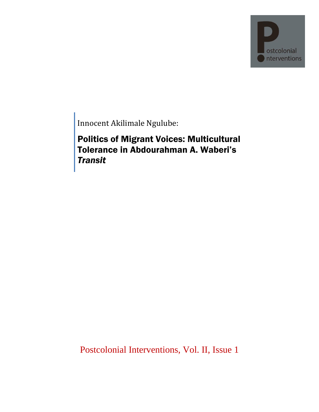

Innocent Akilimale Ngulube:

Politics of Migrant Voices: Multicultural Tolerance in Abdourahman A. Waberi's *Transit*

Postcolonial Interventions, Vol. II, Issue 1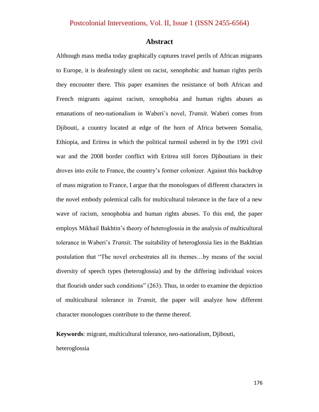#### **Abstract**

Although mass media today graphically captures travel perils of African migrants to Europe, it is deafeningly silent on racist, xenophobic and human rights perils they encounter there. This paper examines the resistance of both African and French migrants against racism, xenophobia and human rights abuses as emanations of neo-nationalism in Waberi"s novel, *Transit*. Waberi comes from Djibouti, a country located at edge of the horn of Africa between Somalia, Ethiopia, and Eritrea in which the political turmoil ushered in by the 1991 civil war and the 2008 border conflict with Eritrea still forces Djiboutians in their droves into exile to France, the country's former colonizer. Against this backdrop of mass migration to France, I argue that the monologues of different characters in the novel embody polemical calls for multicultural tolerance in the face of a new wave of racism, xenophobia and human rights abuses. To this end, the paper employs Mikhail Bakhtin"s theory of heteroglossia in the analysis of multicultural tolerance in Waberi"s *Transit*. The suitability of heteroglossia lies in the Bakhtian postulation that "The novel orchestrates all its themes…by means of the social diversity of speech types (heteroglossia) and by the differing individual voices that flourish under such conditions" (263). Thus, in order to examine the depiction of multicultural tolerance in *Transit*, the paper will analyze how different character monologues contribute to the theme thereof.

**Keywords**: migrant, multicultural tolerance, neo-nationalism, Djibouti,

#### heteroglossia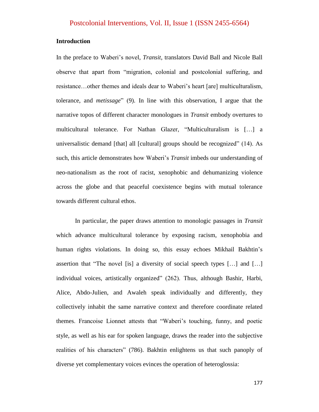#### **Introduction**

In the preface to Waberi"s novel, *Transit*, translators David Ball and Nicole Ball observe that apart from "migration, colonial and postcolonial suffering, and resistance…other themes and ideals dear to Waberi"s heart [are] multiculturalism, tolerance, and *metissage*" (9). In line with this observation, I argue that the narrative topos of different character monologues in *Transit* embody overtures to multicultural tolerance. For Nathan Glazer, "Multiculturalism is […] a universalistic demand [that] all [cultural] groups should be recognized" (14). As such, this article demonstrates how Waberi"s *Transit* imbeds our understanding of neo-nationalism as the root of racist, xenophobic and dehumanizing violence across the globe and that peaceful coexistence begins with mutual tolerance towards different cultural ethos.

In particular, the paper draws attention to monologic passages in *Transit* which advance multicultural tolerance by exposing racism, xenophobia and human rights violations. In doing so, this essay echoes Mikhail Bakhtin"s assertion that "The novel [is] a diversity of social speech types […] and […] individual voices, artistically organized" (262). Thus, although Bashir, Harbi, Alice, Abdo-Julien, and Awaleh speak individually and differently, they collectively inhabit the same narrative context and therefore coordinate related themes. Francoise Lionnet attests that "Waberi"s touching, funny, and poetic style, as well as his ear for spoken language, draws the reader into the subjective realities of his characters" (786). Bakhtin enlightens us that such panoply of diverse yet complementary voices evinces the operation of heteroglossia: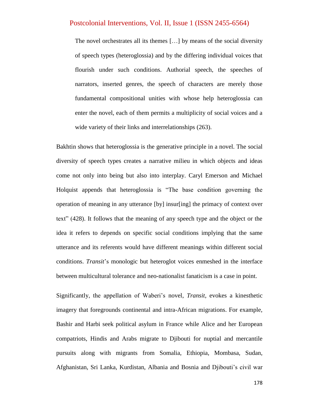The novel orchestrates all its themes […] by means of the social diversity of speech types (heteroglossia) and by the differing individual voices that flourish under such conditions. Authorial speech, the speeches of narrators, inserted genres, the speech of characters are merely those fundamental compositional unities with whose help heteroglossia can enter the novel, each of them permits a multiplicity of social voices and a wide variety of their links and interrelationships (263).

Bakhtin shows that heteroglossia is the generative principle in a novel. The social diversity of speech types creates a narrative milieu in which objects and ideas come not only into being but also into interplay. Caryl Emerson and Michael Holquist appends that heteroglossia is "The base condition governing the operation of meaning in any utterance [by] insur[ing] the primacy of context over text" (428). It follows that the meaning of any speech type and the object or the idea it refers to depends on specific social conditions implying that the same utterance and its referents would have different meanings within different social conditions. *Transit*"s monologic but heteroglot voices enmeshed in the interface between multicultural tolerance and neo-nationalist fanaticism is a case in point.

Significantly, the appellation of Waberi"s novel, *Transit*, evokes a kinesthetic imagery that foregrounds continental and intra-African migrations. For example, Bashir and Harbi seek political asylum in France while Alice and her European compatriots, Hindis and Arabs migrate to Djibouti for nuptial and mercantile pursuits along with migrants from Somalia, Ethiopia, Mombasa, Sudan, Afghanistan, Sri Lanka, Kurdistan, Albania and Bosnia and Djibouti"s civil war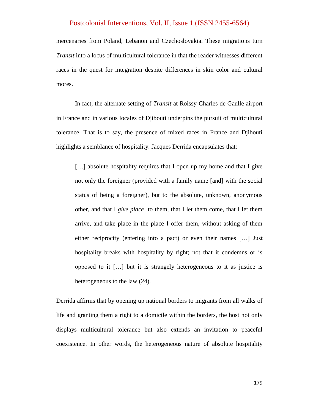mercenaries from Poland, Lebanon and Czechoslovakia. These migrations turn *Transit* into a locus of multicultural tolerance in that the reader witnesses different races in the quest for integration despite differences in skin color and cultural mores.

In fact, the alternate setting of *Transit* at Roissy-Charles de Gaulle airport in France and in various locales of Djibouti underpins the pursuit of multicultural tolerance. That is to say, the presence of mixed races in France and Djibouti highlights a semblance of hospitality. Jacques Derrida encapsulates that:

[...] absolute hospitality requires that I open up my home and that I give not only the foreigner (provided with a family name [and] with the social status of being a foreigner), but to the absolute, unknown, anonymous other, and that I *give place* to them, that I let them come, that I let them arrive, and take place in the place I offer them, without asking of them either reciprocity (entering into a pact) or even their names […] Just hospitality breaks with hospitality by right; not that it condemns or is opposed to it […] but it is strangely heterogeneous to it as justice is heterogeneous to the law (24).

Derrida affirms that by opening up national borders to migrants from all walks of life and granting them a right to a domicile within the borders, the host not only displays multicultural tolerance but also extends an invitation to peaceful coexistence. In other words, the heterogeneous nature of absolute hospitality

179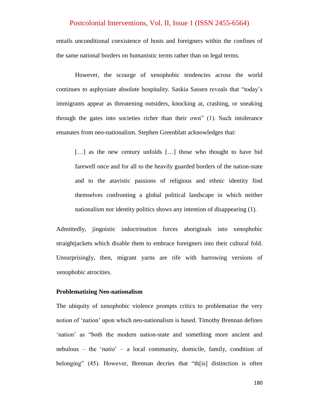entails unconditional coexistence of hosts and foreigners within the confines of the same national borders on humanistic terms rather than on legal terms.

However, the scourge of xenophobic tendencies across the world continues to asphyxiate absolute hospitality. Saskia Sassen reveals that "today"s immigrants appear as threatening outsiders, knocking at, crashing, or sneaking through the gates into societies richer than their own" (1). Such intolerance emanates from neo-nationalism. Stephen Greenblatt acknowledges that:

[...] as the new century unfolds [...] those who thought to have bid farewell once and for all to the heavily guarded borders of the nation-state and to the atavistic passions of religious and ethnic identity find themselves confronting a global political landscape in which neither nationalism nor identity politics shows any intention of disappearing (1).

Admittedly, jingoistic indoctrination forces aboriginals into xenophobic straightjackets which disable them to embrace foreigners into their cultural fold. Unsurprisingly, then, migrant yarns are rife with harrowing versions of xenophobic atrocities.

#### **Problematizing Neo-nationalism**

The ubiquity of xenophobic violence prompts critics to problematize the very notion of "nation" upon which neo-nationalism is based. Timothy Brennan defines 'nation' as "both the modern nation-state and something more ancient and nebulous – the "*natio*" – a local community, domicile, family, condition of belonging" (45). However, Brennan decries that "th[is] distinction is often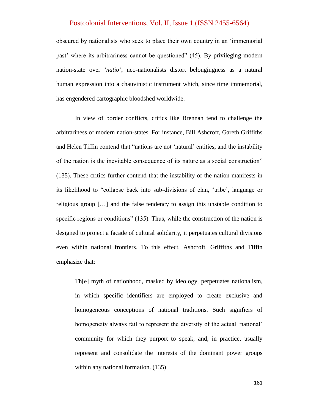obscured by nationalists who seek to place their own country in an "immemorial past" where its arbitrariness cannot be questioned" (45). By privileging modern nation-state over "*natio*", neo-nationalists distort belongingness as a natural human expression into a chauvinistic instrument which, since time immemorial, has engendered cartographic bloodshed worldwide.

In view of border conflicts, critics like Brennan tend to challenge the arbitrariness of modern nation-states. For instance, Bill Ashcroft, Gareth Griffiths and Helen Tiffin contend that "nations are not 'natural' entities, and the instability of the nation is the inevitable consequence of its nature as a social construction" (135). These critics further contend that the instability of the nation manifests in its likelihood to "collapse back into sub-divisions of clan, "tribe", language or religious group […] and the false tendency to assign this unstable condition to specific regions or conditions" (135). Thus, while the construction of the nation is designed to project a facade of cultural solidarity, it perpetuates cultural divisions even within national frontiers. To this effect, Ashcroft, Griffiths and Tiffin emphasize that:

Th[e] myth of nationhood, masked by ideology, perpetuates nationalism, in which specific identifiers are employed to create exclusive and homogeneous conceptions of national traditions. Such signifiers of homogeneity always fail to represent the diversity of the actual 'national' community for which they purport to speak, and, in practice, usually represent and consolidate the interests of the dominant power groups within any national formation. (135)

181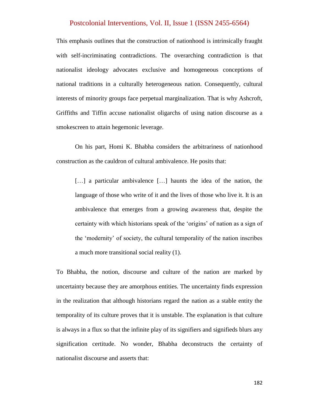This emphasis outlines that the construction of nationhood is intrinsically fraught with self-incriminating contradictions. The overarching contradiction is that nationalist ideology advocates exclusive and homogeneous conceptions of national traditions in a culturally heterogeneous nation. Consequently, cultural interests of minority groups face perpetual marginalization. That is why Ashcroft, Griffiths and Tiffin accuse nationalist oligarchs of using nation discourse as a smokescreen to attain hegemonic leverage.

On his part, Homi K. Bhabha considers the arbitrariness of nationhood construction as the cauldron of cultural ambivalence. He posits that:

[...] a particular ambivalence [...] haunts the idea of the nation, the language of those who write of it and the lives of those who live it. It is an ambivalence that emerges from a growing awareness that, despite the certainty with which historians speak of the "origins" of nation as a sign of the "modernity" of society, the cultural temporality of the nation inscribes a much more transitional social reality (1).

To Bhabha, the notion, discourse and culture of the nation are marked by uncertainty because they are amorphous entities. The uncertainty finds expression in the realization that although historians regard the nation as a stable entity the temporality of its culture proves that it is unstable. The explanation is that culture is always in a flux so that the infinite play of its signifiers and signifieds blurs any signification certitude. No wonder, Bhabha deconstructs the certainty of nationalist discourse and asserts that: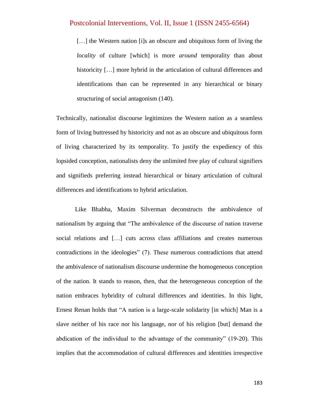[...] the Western nation [i]s an obscure and ubiquitous form of living the *locality* of culture [which] is more *around* temporality than about historicity [...] more hybrid in the articulation of cultural differences and identifications than can be represented in any hierarchical or binary structuring of social antagonism (140).

Technically, nationalist discourse legitimizes the Western nation as a seamless form of living buttressed by historicity and not as an obscure and ubiquitous form of living characterized by its temporality. To justify the expediency of this lopsided conception, nationalists deny the unlimited free play of cultural signifiers and signifieds preferring instead hierarchical or binary articulation of cultural differences and identifications to hybrid articulation.

Like Bhabha, Maxim Silverman deconstructs the ambivalence of nationalism by arguing that "The ambivalence of the discourse of nation traverse social relations and […] cuts across class affiliations and creates numerous contradictions in the ideologies" (7). These numerous contradictions that attend the ambivalence of nationalism discourse undermine the homogeneous conception of the nation. It stands to reason, then, that the heterogeneous conception of the nation embraces hybridity of cultural differences and identities. In this light, Ernest Renan holds that "A nation is a large-scale solidarity [in which] Man is a slave neither of his race nor his language, nor of his religion [but] demand the abdication of the individual to the advantage of the community" (19-20). This implies that the accommodation of cultural differences and identities irrespective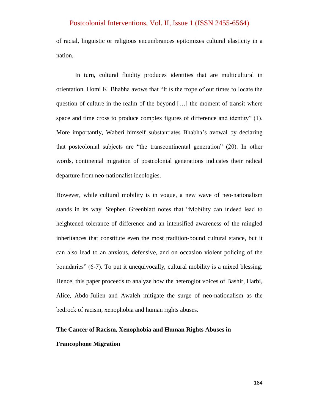of racial, linguistic or religious encumbrances epitomizes cultural elasticity in a nation.

In turn, cultural fluidity produces identities that are multicultural in orientation. Homi K. Bhabha avows that "It is the trope of our times to locate the question of culture in the realm of the beyond […] the moment of transit where space and time cross to produce complex figures of difference and identity" (1). More importantly, Waberi himself substantiates Bhabha's avowal by declaring that postcolonial subjects are "the transcontinental generation" (20). In other words, continental migration of postcolonial generations indicates their radical departure from neo-nationalist ideologies.

However, while cultural mobility is in vogue, a new wave of neo-nationalism stands in its way. Stephen Greenblatt notes that "Mobility can indeed lead to heightened tolerance of difference and an intensified awareness of the mingled inheritances that constitute even the most tradition-bound cultural stance, but it can also lead to an anxious, defensive, and on occasion violent policing of the boundaries" (6-7). To put it unequivocally, cultural mobility is a mixed blessing. Hence, this paper proceeds to analyze how the heteroglot voices of Bashir, Harbi, Alice, Abdo-Julien and Awaleh mitigate the surge of neo-nationalism as the bedrock of racism, xenophobia and human rights abuses.

# **The Cancer of Racism, Xenophobia and Human Rights Abuses in Francophone Migration**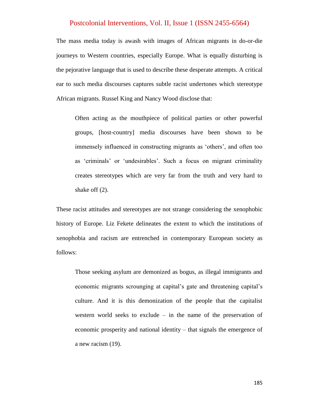The mass media today is awash with images of African migrants in do-or-die journeys to Western countries, especially Europe. What is equally disturbing is the pejorative language that is used to describe these desperate attempts. A critical ear to such media discourses captures subtle racist undertones which stereotype African migrants. Russel King and Nancy Wood disclose that:

Often acting as the mouthpiece of political parties or other powerful groups, [host-country] media discourses have been shown to be immensely influenced in constructing migrants as "others", and often too as 'criminals' or 'undesirables'. Such a focus on migrant criminality creates stereotypes which are very far from the truth and very hard to shake off (2).

These racist attitudes and stereotypes are not strange considering the xenophobic history of Europe. Liz Fekete delineates the extent to which the institutions of xenophobia and racism are entrenched in contemporary European society as follows:

Those seeking asylum are demonized as bogus, as illegal immigrants and economic migrants scrounging at capital"s gate and threatening capital"s culture. And it is this demonization of the people that the capitalist western world seeks to exclude – in the name of the preservation of economic prosperity and national identity – that signals the emergence of a new racism (19).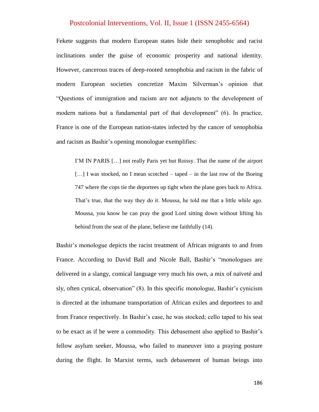Fekete suggests that modern European states hide their xenophobic and racist inclinations under the guise of economic prosperity and national identity. However, cancerous traces of deep-rooted xenophobia and racism in the fabric of modern European societies concretize Maxim Silverman"s opinion that "Questions of immigration and racism are not adjuncts to the development of modern nations but a fundamental part of that development" (6). In practice, France is one of the European nation-states infected by the cancer of xenophobia and racism as Bashir"s opening monologue exemplifies:

I"M IN PARIS […] not really Paris yet but Roissy. That the name of the airport [...] I was stocked, no I mean scotched – taped – in the last row of the Boeing 747 where the cops tie the deportees up tight when the plane goes back to Africa. That's true, that the way they do it. Moussa, he told me that a little while ago. Moussa, you know he can pray the good Lord sitting down without lifting his behind from the seat of the plane, believe me faithfully (14).

Bashir"s monologue depicts the racist treatment of African migrants to and from France. According to David Ball and Nicole Ball, Bashir"s "monologues are delivered in a slangy, comical language very much his own, a mix of naïveté and sly, often cynical, observation" (8). In this specific monologue, Bashir's cynicism is directed at the inhumane transportation of African exiles and deportees to and from France respectively. In Bashir"s case, he was stocked; cello taped to his seat to be exact as if he were a commodity. This debasement also applied to Bashir"s fellow asylum seeker, Moussa, who failed to maneuver into a praying posture during the flight. In Marxist terms, such debasement of human beings into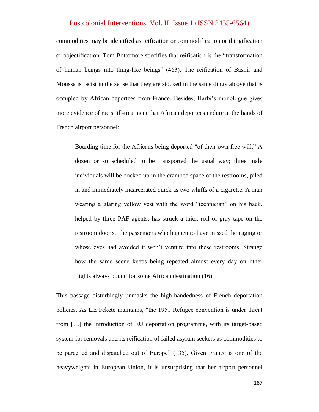commodities may be identified as reification or commodification or thingification or objectification. Tom Bottomore specifies that reification is the "transformation of human beings into thing-like beings" (463). The reification of Bashir and Moussa is racist in the sense that they are stocked in the same dingy alcove that is occupied by African deportees from France. Besides, Harbi"s monologue gives more evidence of racist ill-treatment that African deportees endure at the hands of French airport personnel:

Boarding time for the Africans being deported "of their own free will." A dozen or so scheduled to be transported the usual way; three male individuals will be docked up in the cramped space of the restrooms, piled in and immediately incarcerated quick as two whiffs of a cigarette. A man wearing a glaring yellow vest with the word "technician" on his back, helped by three PAF agents, has struck a thick roll of gray tape on the restroom door so the passengers who happen to have missed the caging or whose eyes had avoided it won't venture into these restrooms. Strange how the same scene keeps being repeated almost every day on other flights always bound for some African destination (16).

This passage disturbingly unmasks the high-handedness of French deportation policies. As Liz Fekete maintains, "the 1951 Refugee convention is under threat from […] the introduction of EU deportation programme, with its target-based system for removals and its reification of failed asylum seekers as commodities to be parcelled and dispatched out of Europe" (135). Given France is one of the heavyweights in European Union, it is unsurprising that her airport personnel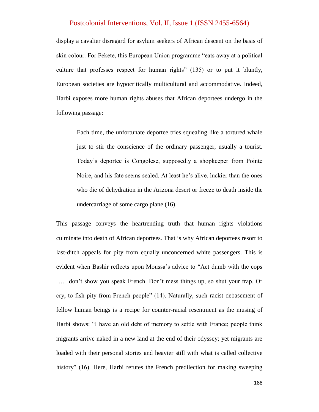display a cavalier disregard for asylum seekers of African descent on the basis of skin colour. For Fekete, this European Union programme "eats away at a political culture that professes respect for human rights" (135) or to put it bluntly, European societies are hypocritically multicultural and accommodative. Indeed, Harbi exposes more human rights abuses that African deportees undergo in the following passage:

Each time, the unfortunate deportee tries squealing like a tortured whale just to stir the conscience of the ordinary passenger, usually a tourist. Today"s deportee is Congolese, supposedly a shopkeeper from Pointe Noire, and his fate seems sealed. At least he"s alive, luckier than the ones who die of dehydration in the Arizona desert or freeze to death inside the undercarriage of some cargo plane (16).

This passage conveys the heartrending truth that human rights violations culminate into death of African deportees. That is why African deportees resort to last-ditch appeals for pity from equally unconcerned white passengers. This is evident when Bashir reflects upon Moussa"s advice to "Act dumb with the cops [...] don't show you speak French. Don't mess things up, so shut your trap. Or cry, to fish pity from French people" (14). Naturally, such racist debasement of fellow human beings is a recipe for counter-racial resentment as the musing of Harbi shows: "I have an old debt of memory to settle with France; people think migrants arrive naked in a new land at the end of their odyssey; yet migrants are loaded with their personal stories and heavier still with what is called collective history" (16). Here, Harbi refutes the French predilection for making sweeping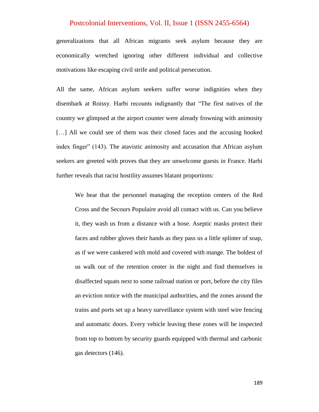generalizations that all African migrants seek asylum because they are economically wretched ignoring other different individual and collective motivations like escaping civil strife and political persecution.

All the same, African asylum seekers suffer worse indignities when they disembark at Roissy. Harbi recounts indignantly that "The first natives of the country we glimpsed at the airport counter were already frowning with animosity [...] All we could see of them was their closed faces and the accusing hooked index finger" (143). The atavistic animosity and accusation that African asylum seekers are greeted with proves that they are unwelcome guests in France. Harbi further reveals that racist hostility assumes blatant proportions:

We hear that the personnel managing the reception centers of the Red Cross and the Secours Populaire avoid all contact with us. Can you believe it, they wash us from a distance with a hose. Aseptic masks protect their faces and rubber gloves their hands as they pass us a little splinter of soap, as if we were cankered with mold and covered with mange. The boldest of us walk out of the retention center in the night and find themselves in disaffected squats next to some railroad station or port, before the city files an eviction notice with the municipal authorities, and the zones around the trains and ports set up a heavy surveillance system with steel wire fencing and automatic doors. Every vehicle leaving these zones will be inspected from top to bottom by security guards equipped with thermal and carbonic gas detectors (146).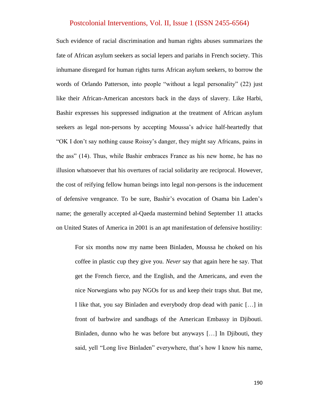Such evidence of racial discrimination and human rights abuses summarizes the fate of African asylum seekers as social lepers and pariahs in French society. This inhumane disregard for human rights turns African asylum seekers, to borrow the words of Orlando Patterson, into people "without a legal personality" (22) just like their African-American ancestors back in the days of slavery. Like Harbi, Bashir expresses his suppressed indignation at the treatment of African asylum seekers as legal non-persons by accepting Moussa"s advice half-heartedly that "OK I don"t say nothing cause Roissy"s danger, they might say Africans, pains in the ass" (14). Thus, while Bashir embraces France as his new home, he has no illusion whatsoever that his overtures of racial solidarity are reciprocal. However, the cost of reifying fellow human beings into legal non-persons is the inducement of defensive vengeance. To be sure, Bashir"s evocation of Osama bin Laden"s name; the generally accepted al-Qaeda mastermind behind September 11 attacks on United States of America in 2001 is an apt manifestation of defensive hostility:

For six months now my name been Binladen, Moussa he choked on his coffee in plastic cup they give you. *Never* say that again here he say. That get the French fierce, and the English, and the Americans, and even the nice Norwegians who pay NGOs for us and keep their traps shut. But me, I like that, you say Binladen and everybody drop dead with panic […] in front of barbwire and sandbags of the American Embassy in Djibouti. Binladen, dunno who he was before but anyways […] In Djibouti, they said, yell "Long live Binladen" everywhere, that's how I know his name,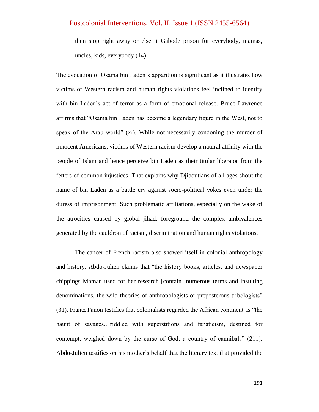then stop right away or else it Gabode prison for everybody, mamas, uncles, kids, everybody (14).

The evocation of Osama bin Laden"s apparition is significant as it illustrates how victims of Western racism and human rights violations feel inclined to identify with bin Laden"s act of terror as a form of emotional release. Bruce Lawrence affirms that "Osama bin Laden has become a legendary figure in the West, not to speak of the Arab world" (xi). While not necessarily condoning the murder of innocent Americans, victims of Western racism develop a natural affinity with the people of Islam and hence perceive bin Laden as their titular liberator from the fetters of common injustices. That explains why Djiboutians of all ages shout the name of bin Laden as a battle cry against socio-political yokes even under the duress of imprisonment. Such problematic affiliations, especially on the wake of the atrocities caused by global jihad, foreground the complex ambivalences generated by the cauldron of racism, discrimination and human rights violations.

The cancer of French racism also showed itself in colonial anthropology and history. Abdo-Julien claims that "the history books, articles, and newspaper chippings Maman used for her research [contain] numerous terms and insulting denominations, the wild theories of anthropologists or preposterous tribologists" (31). Frantz Fanon testifies that colonialists regarded the African continent as "the haunt of savages…riddled with superstitions and fanaticism, destined for contempt, weighed down by the curse of God, a country of cannibals" (211). Abdo-Julien testifies on his mother"s behalf that the literary text that provided the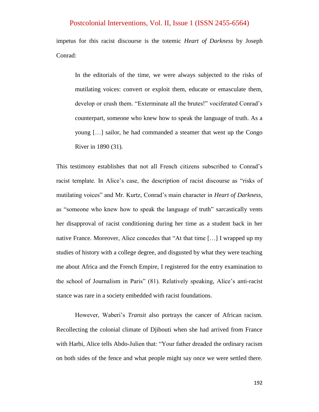impetus for this racist discourse is the totemic *Heart of Darkness* by Joseph Conrad:

In the editorials of the time, we were always subjected to the risks of mutilating voices: convert or exploit them, educate or emasculate them, develop or crush them. "Exterminate all the brutes!" vociferated Conrad"s counterpart, someone who knew how to speak the language of truth. As a young […] sailor, he had commanded a steamer that went up the Congo River in 1890 (31).

This testimony establishes that not all French citizens subscribed to Conrad"s racist template. In Alice's case, the description of racist discourse as "risks of mutilating voices" and Mr. Kurtz, Conrad"s main character in *Heart of Darkness*, as "someone who knew how to speak the language of truth" sarcastically vents her disapproval of racist conditioning during her time as a student back in her native France. Moreover, Alice concedes that "At that time […] I wrapped up my studies of history with a college degree, and disgusted by what they were teaching me about Africa and the French Empire, I registered for the entry examination to the school of Journalism in Paris" (81). Relatively speaking, Alice"s anti-racist stance was rare in a society embedded with racist foundations.

However, Waberi"s *Transit* also portrays the cancer of African racism. Recollecting the colonial climate of Djibouti when she had arrived from France with Harbi, Alice tells Abdo-Julien that: "Your father dreaded the ordinary racism on both sides of the fence and what people might say once we were settled there.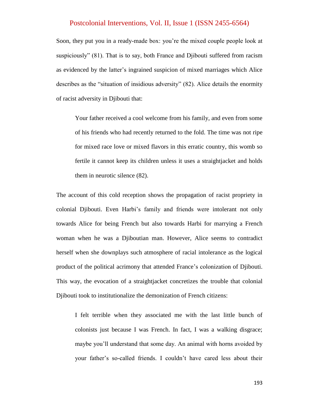Soon, they put you in a ready-made box: you"re the mixed couple people look at suspiciously" (81). That is to say, both France and Djibouti suffered from racism as evidenced by the latter"s ingrained suspicion of mixed marriages which Alice describes as the "situation of insidious adversity" (82). Alice details the enormity of racist adversity in Djibouti that:

Your father received a cool welcome from his family, and even from some of his friends who had recently returned to the fold. The time was not ripe for mixed race love or mixed flavors in this erratic country, this womb so fertile it cannot keep its children unless it uses a straightjacket and holds them in neurotic silence (82).

The account of this cold reception shows the propagation of racist propriety in colonial Djibouti. Even Harbi"s family and friends were intolerant not only towards Alice for being French but also towards Harbi for marrying a French woman when he was a Djiboutian man. However, Alice seems to contradict herself when she downplays such atmosphere of racial intolerance as the logical product of the political acrimony that attended France"s colonization of Djibouti. This way, the evocation of a straightjacket concretizes the trouble that colonial Djibouti took to institutionalize the demonization of French citizens:

I felt terrible when they associated me with the last little bunch of colonists just because I was French. In fact, I was a walking disgrace; maybe you"ll understand that some day. An animal with horns avoided by your father"s so-called friends. I couldn"t have cared less about their

193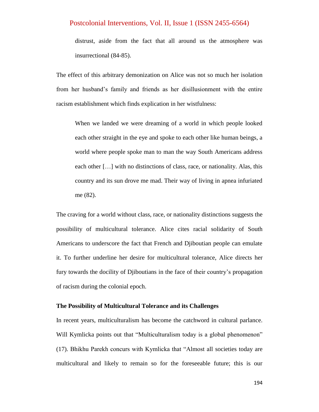distrust, aside from the fact that all around us the atmosphere was insurrectional (84-85).

The effect of this arbitrary demonization on Alice was not so much her isolation from her husband"s family and friends as her disillusionment with the entire racism establishment which finds explication in her wistfulness:

When we landed we were dreaming of a world in which people looked each other straight in the eye and spoke to each other like human beings, a world where people spoke man to man the way South Americans address each other […] with no distinctions of class, race, or nationality. Alas, this country and its sun drove me mad. Their way of living in apnea infuriated me (82).

The craving for a world without class, race, or nationality distinctions suggests the possibility of multicultural tolerance. Alice cites racial solidarity of South Americans to underscore the fact that French and Djiboutian people can emulate it. To further underline her desire for multicultural tolerance, Alice directs her fury towards the docility of Djiboutians in the face of their country"s propagation of racism during the colonial epoch.

#### **The Possibility of Multicultural Tolerance and its Challenges**

In recent years, multiculturalism has become the catchword in cultural parlance. Will Kymlicka points out that "Multiculturalism today is a global phenomenon" (17). Bhikhu Parekh concurs with Kymlicka that "Almost all societies today are multicultural and likely to remain so for the foreseeable future; this is our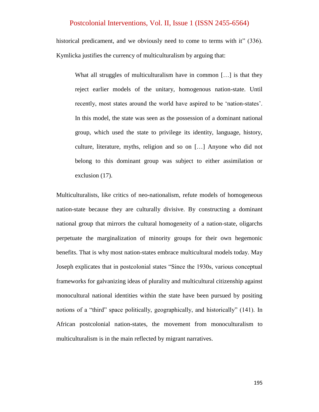historical predicament, and we obviously need to come to terms with it" (336). Kymlicka justifies the currency of multiculturalism by arguing that:

What all struggles of multiculturalism have in common [...] is that they reject earlier models of the unitary, homogenous nation-state. Until recently, most states around the world have aspired to be "nation-states". In this model, the state was seen as the possession of a dominant national group, which used the state to privilege its identity, language, history, culture, literature, myths, religion and so on […] Anyone who did not belong to this dominant group was subject to either assimilation or exclusion (17).

Multiculturalists, like critics of neo-nationalism, refute models of homogeneous nation-state because they are culturally divisive. By constructing a dominant national group that mirrors the cultural homogeneity of a nation-state, oligarchs perpetuate the marginalization of minority groups for their own hegemonic benefits. That is why most nation-states embrace multicultural models today. May Joseph explicates that in postcolonial states "Since the 1930s, various conceptual frameworks for galvanizing ideas of plurality and multicultural citizenship against monocultural national identities within the state have been pursued by positing notions of a "third" space politically, geographically, and historically" (141). In African postcolonial nation-states, the movement from monoculturalism to multiculturalism is in the main reflected by migrant narratives.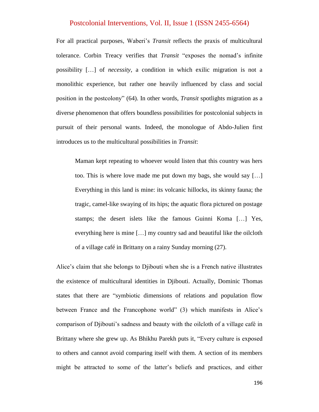For all practical purposes, Waberi"s *Transit* reflects the praxis of multicultural tolerance. Corbin Treacy verifies that *Transit* "exposes the nomad"s infinite possibility […] of *necessity*, a condition in which exilic migration is not a monolithic experience, but rather one heavily influenced by class and social position in the postcolony" (64). In other words, *Transit* spotlights migration as a diverse phenomenon that offers boundless possibilities for postcolonial subjects in pursuit of their personal wants. Indeed, the monologue of Abdo-Julien first introduces us to the multicultural possibilities in *Transit*:

Maman kept repeating to whoever would listen that this country was hers too. This is where love made me put down my bags, she would say […] Everything in this land is mine: its volcanic hillocks, its skinny fauna; the tragic, camel-like swaying of its hips; the aquatic flora pictured on postage stamps; the desert islets like the famous Guinni Koma […] Yes, everything here is mine […] my country sad and beautiful like the oilcloth of a village café in Brittany on a rainy Sunday morning (27).

Alice"s claim that she belongs to Djibouti when she is a French native illustrates the existence of multicultural identities in Djibouti. Actually, Dominic Thomas states that there are "symbiotic dimensions of relations and population flow between France and the Francophone world" (3) which manifests in Alice's comparison of Djibouti's sadness and beauty with the oilcloth of a village café in Brittany where she grew up. As Bhikhu Parekh puts it, "Every culture is exposed to others and cannot avoid comparing itself with them. A section of its members might be attracted to some of the latter"s beliefs and practices, and either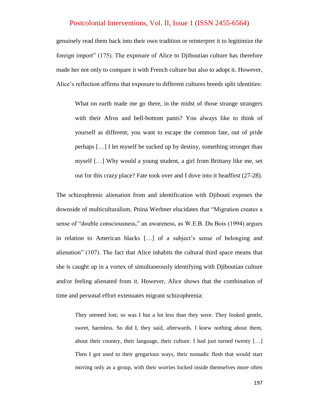genuinely read them back into their own tradition or reinterpret it to legitimize the foreign import" (175). The exposure of Alice to Djiboutian culture has therefore made her not only to compare it with French culture but also to adopt it. However, Alice"s reflection affirms that exposure to different cultures breeds split identities:

What on earth made me go there, in the midst of those strange strangers with their Afros and bell-bottom pants? You always like to think of yourself as different; you want to escape the common fate, out of pride perhaps […] I let myself be sucked up by destiny, something stronger than myself […] Why would a young student, a girl from Brittany like me, set out for this crazy place? Fate took over and I dove into it headfirst (27-28).

The schizophrenic alienation from and identification with Djibouti exposes the downside of multiculturalism. Pnina Werbner elucidates that "Migration creates a sense of "double consciousness," an awareness, as W.E.B. Du Bois (1994) argues in relation to American blacks [...] of a subject's sense of belonging and alienation" (107). The fact that Alice inhabits the cultural third space means that she is caught up in a vortex of simultaneously identifying with Djiboutian culture and/or feeling alienated from it. However, Alice shows that the combination of time and personal effort extenuates migrant schizophrenia:

They seemed lost; so was I but a lot less than they were. They looked gentle, sweet, harmless. So did I, they said, afterwards. I knew nothing about them, about their country, their language, their culture. I had just turned twenty […] Then I got used to their gregarious ways, their nomadic flesh that would start moving only as a group, with their worries locked inside themselves more often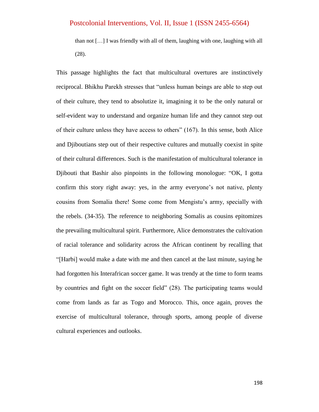than not […] I was friendly with all of them, laughing with one, laughing with all (28).

This passage highlights the fact that multicultural overtures are instinctively reciprocal. Bhikhu Parekh stresses that "unless human beings are able to step out of their culture, they tend to absolutize it, imagining it to be the only natural or self-evident way to understand and organize human life and they cannot step out of their culture unless they have access to others" (167). In this sense, both Alice and Djiboutians step out of their respective cultures and mutually coexist in spite of their cultural differences. Such is the manifestation of multicultural tolerance in Djibouti that Bashir also pinpoints in the following monologue: "OK, I gotta confirm this story right away: yes, in the army everyone's not native, plenty cousins from Somalia there! Some come from Mengistu"s army, specially with the rebels. (34-35). The reference to neighboring Somalis as cousins epitomizes the prevailing multicultural spirit. Furthermore, Alice demonstrates the cultivation of racial tolerance and solidarity across the African continent by recalling that "[Harbi] would make a date with me and then cancel at the last minute, saying he had forgotten his Interafrican soccer game. It was trendy at the time to form teams by countries and fight on the soccer field" (28). The participating teams would come from lands as far as Togo and Morocco. This, once again, proves the exercise of multicultural tolerance, through sports, among people of diverse cultural experiences and outlooks.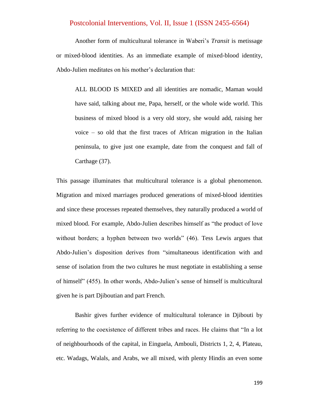Another form of multicultural tolerance in Waberi"s *Transit* is metissage or mixed-blood identities. As an immediate example of mixed-blood identity, Abdo-Julien meditates on his mother"s declaration that:

ALL BLOOD IS MIXED and all identities are nomadic, Maman would have said, talking about me, Papa, herself, or the whole wide world. This business of mixed blood is a very old story, she would add, raising her voice – so old that the first traces of African migration in the Italian peninsula, to give just one example, date from the conquest and fall of Carthage (37).

This passage illuminates that multicultural tolerance is a global phenomenon. Migration and mixed marriages produced generations of mixed-blood identities and since these processes repeated themselves, they naturally produced a world of mixed blood. For example, Abdo-Julien describes himself as "the product of love without borders; a hyphen between two worlds" (46). Tess Lewis argues that Abdo-Julien"s disposition derives from "simultaneous identification with and sense of isolation from the two cultures he must negotiate in establishing a sense of himself" (455). In other words, Abdo-Julien"s sense of himself is multicultural given he is part Djiboutian and part French.

Bashir gives further evidence of multicultural tolerance in Djibouti by referring to the coexistence of different tribes and races. He claims that "In a lot of neighbourhoods of the capital, in Einguela, Ambouli, Districts 1, 2, 4, Plateau, etc. Wadags, Walals, and Arabs, we all mixed, with plenty Hindis an even some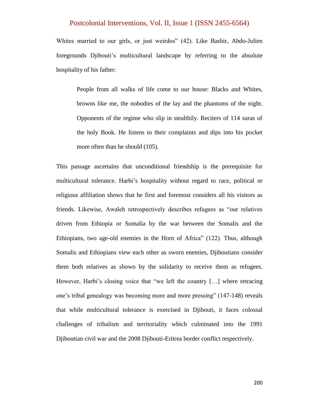Whites married to our girls, or just weirdos" (42). Like Bashir, Abdo-Julien foregrounds Djibouti's multicultural landscape by referring to the absolute hospitality of his father:

People from all walks of life come to our house: Blacks and Whites, browns like me, the nobodies of the lay and the phantoms of the night. Opponents of the regime who slip in stealthily. Reciters of 114 suras of the holy Book. He listens to their complaints and dips into his pocket more often than he should (105).

This passage ascertains that unconditional friendship is the prerequisite for multicultural tolerance. Harbi"s hospitality without regard to race, political or religious affiliation shows that he first and foremost considers all his visitors as friends. Likewise, Awaleh retrospectively describes refugees as "our relatives driven from Ethiopia or Somalia by the war between the Somalis and the Ethiopians, two age-old enemies in the Horn of Africa" (122). Thus, although Somalis and Ethiopians view each other as sworn enemies, Djiboutians consider them both relatives as shown by the solidarity to receive them as refugees. However, Harbi's closing voice that "we left the country [...] where retracing one"s tribal genealogy was becoming more and more pressing" (147-148) reveals that while multicultural tolerance is exercised in Djibouti, it faces colossal challenges of tribalism and territoriality which culminated into the 1991 Djiboutian civil war and the 2008 Djibouti-Eritrea border conflict respectively.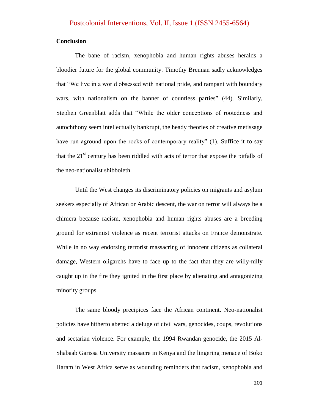#### **Conclusion**

The bane of racism, xenophobia and human rights abuses heralds a bloodier future for the global community. Timothy Brennan sadly acknowledges that "We live in a world obsessed with national pride, and rampant with boundary wars, with nationalism on the banner of countless parties" (44). Similarly, Stephen Greenblatt adds that "While the older conceptions of rootedness and autochthony seem intellectually bankrupt, the heady theories of creative metissage have run aground upon the rocks of contemporary reality" (1). Suffice it to say that the  $21<sup>st</sup>$  century has been riddled with acts of terror that expose the pitfalls of the neo-nationalist shibboleth.

Until the West changes its discriminatory policies on migrants and asylum seekers especially of African or Arabic descent, the war on terror will always be a chimera because racism, xenophobia and human rights abuses are a breeding ground for extremist violence as recent terrorist attacks on France demonstrate. While in no way endorsing terrorist massacring of innocent citizens as collateral damage, Western oligarchs have to face up to the fact that they are willy-nilly caught up in the fire they ignited in the first place by alienating and antagonizing minority groups.

The same bloody precipices face the African continent. Neo-nationalist policies have hitherto abetted a deluge of civil wars, genocides, coups, revolutions and sectarian violence. For example, the 1994 Rwandan genocide, the 2015 Al-Shabaab Garissa University massacre in Kenya and the lingering menace of Boko Haram in West Africa serve as wounding reminders that racism, xenophobia and

201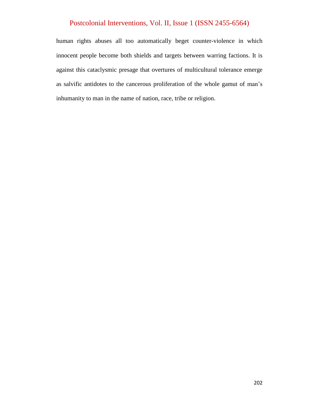human rights abuses all too automatically beget counter-violence in which innocent people become both shields and targets between warring factions. It is against this cataclysmic presage that overtures of multicultural tolerance emerge as salvific antidotes to the cancerous proliferation of the whole gamut of man"s inhumanity to man in the name of nation, race, tribe or religion.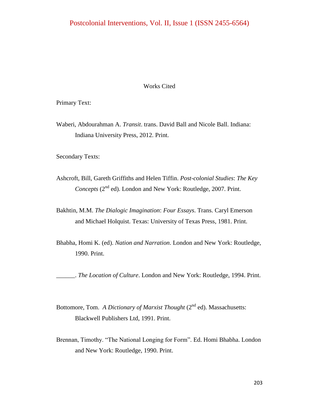#### Works Cited

Primary Text:

Waberi, Abdourahman A. *Transit*. trans. David Ball and Nicole Ball. Indiana: Indiana University Press, 2012. Print.

Secondary Texts:

- Ashcroft, Bill, Gareth Griffiths and Helen Tiffin. *Post-colonial Studies*: *The Key Concepts* (2<sup>nd</sup> ed). London and New York: Routledge, 2007. Print.
- Bakhtin, M.M. *The Dialogic Imagination*: *Four Essays*. Trans. Caryl Emerson and Michael Holquist. Texas: University of Texas Press, 1981. Print.
- Bhabha, Homi K. (ed). *Nation and Narration*. London and New York: Routledge, 1990. Print.

\_\_\_\_\_\_. *The Location of Culture*. London and New York: Routledge, 1994. Print.

- Bottomore, Tom. *A Dictionary of Marxist Thought* (2<sup>nd</sup> ed). Massachusetts: Blackwell Publishers Ltd, 1991. Print.
- Brennan, Timothy. "The National Longing for Form". Ed. Homi Bhabha. London and New York: Routledge, 1990. Print.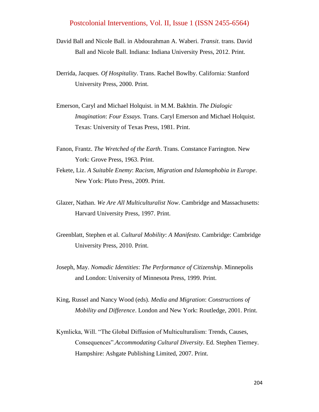- David Ball and Nicole Ball. in Abdourahman A. Waberi. *Transit*. trans. David Ball and Nicole Ball. Indiana: Indiana University Press, 2012. Print.
- Derrida, Jacques. *Of Hospitality*. Trans. Rachel Bowlby. California: Stanford University Press, 2000. Print.
- Emerson, Caryl and Michael Holquist. in M.M. Bakhtin. *The Dialogic Imagination*: *Four Essays*. Trans. Caryl Emerson and Michael Holquist. Texas: University of Texas Press, 1981. Print.
- Fanon, Frantz. *The Wretched of the Earth*. Trans. Constance Farrington. New York: Grove Press, 1963. Print.
- Fekete, Liz. *A Suitable Enemy*: *Racism, Migration and Islamophobia in Europe*. New York: Pluto Press, 2009. Print.
- Glazer, Nathan. *We Are All Multiculturalist Now*. Cambridge and Massachusetts: Harvard University Press, 1997. Print.
- Greenblatt, Stephen et al. *Cultural Mobility*: *A Manifesto*. Cambridge: Cambridge University Press, 2010. Print.
- Joseph, May. *Nomadic Identities*: *The Performance of Citizenship*. Minnepolis and London: University of Minnesota Press, 1999. Print.
- King, Russel and Nancy Wood (eds). *Media and Migration*: *Constructions of Mobility and Difference*. London and New York: Routledge, 2001. Print.
- Kymlicka, Will. "The Global Diffusion of Multiculturalism: Trends, Causes, Consequences".*Accommodating Cultural Diversity*. Ed. Stephen Tierney. Hampshire: Ashgate Publishing Limited, 2007. Print.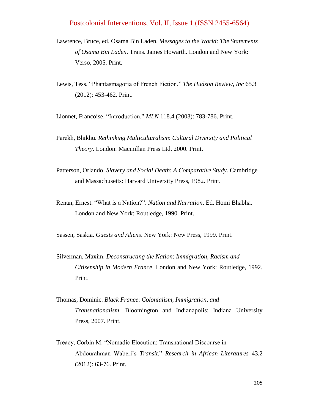- Lawrence, Bruce, ed. Osama Bin Laden. *Messages to the World*: *The Statements of Osama Bin Laden*. Trans. James Howarth. London and New York: Verso, 2005. Print.
- Lewis, Tess. "Phantasmagoria of French Fiction." *The Hudson Review, Inc* 65.3 (2012): 453-462. Print.

Lionnet, Francoise. "Introduction." *MLN* 118.4 (2003): 783-786. Print.

- Parekh, Bhikhu. *Rethinking Multiculturalism*: *Cultural Diversity and Political Theory*. London: Macmillan Press Ltd, 2000. Print.
- Patterson, Orlando. *Slavery and Social Death*: *A Comparative Study*. Cambridge and Massachusetts: Harvard University Press, 1982. Print.
- Renan, Ernest. "What is a Nation?". *Nation and Narration*. Ed. Homi Bhabha. London and New York: Routledge, 1990. Print.

Sassen, Saskia. *Guests and Aliens*. New York: New Press, 1999. Print.

- Silverman, Maxim. *Deconstructing the Nation*: *Immigration, Racism and Citizenship in Modern France*. London and New York: Routledge, 1992. Print.
- Thomas, Dominic. *Black France*: *Colonialism, Immigration, and Transnationalism*. Bloomington and Indianapolis: Indiana University Press, 2007. Print.
- Treacy, Corbin M. "Nomadic Elocution: Transnational Discourse in Abdourahman Waberi"s *Transit*." *Research in African Literatures* 43.2 (2012): 63-76. Print.